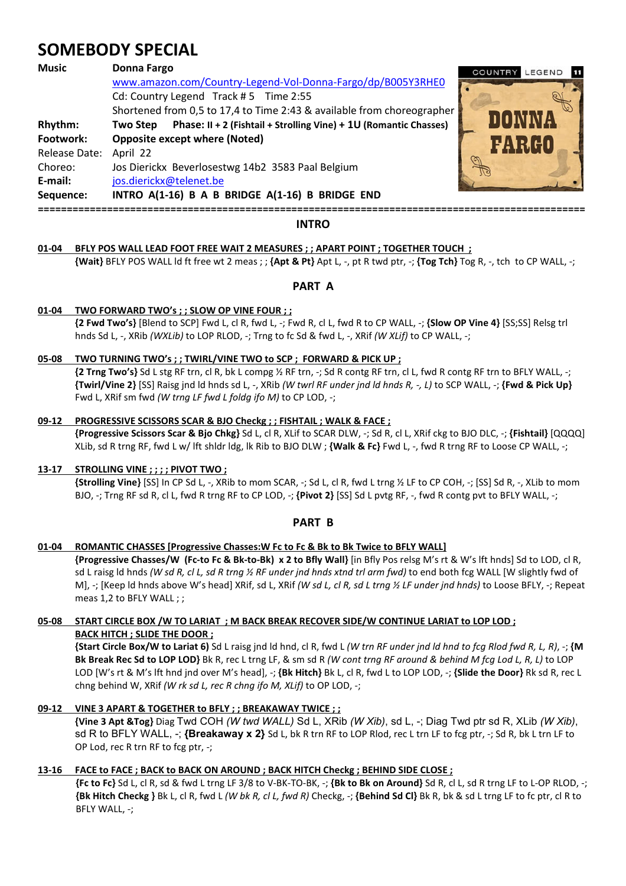# **SOMEBODY SPECIAL**

| <b>Music</b>  | <b>Donna Fargo</b>                                                            | LEGEND<br>COUNTRY<br>- 11 |
|---------------|-------------------------------------------------------------------------------|---------------------------|
|               | www.amazon.com/Country-Legend-Vol-Donna-Fargo/dp/B005Y3RHE0                   |                           |
|               | Cd: Country Legend Track #5 Time 2:55                                         |                           |
|               | Shortened from 0,5 to 17,4 to Time 2:43 & available from choreographer        |                           |
| Rhythm:       | Phase: II + 2 (Fishtail + Strolling Vine) + 1U (Romantic Chasses)<br>Two Step |                           |
| Footwork:     | <b>Opposite except where (Noted)</b>                                          | 1998440                   |
| Release Date: | April 22                                                                      |                           |
| Choreo:       | Jos Dierickx Beverlosestwg 14b2 3583 Paal Belgium                             |                           |
| E-mail:       | jos.dierickx@telenet.be                                                       |                           |
| Sequence:     | INTRO A(1-16) B A B BRIDGE A(1-16) B BRIDGE END                               |                           |
|               |                                                                               |                           |

# **INTRO**

# **01-04 BFLY POS WALL LEAD FOOT FREE WAIT 2 MEASURES ; ; APART POINT ; TOGETHER TOUCH ;**

 **{Wait}** BFLY POS WALL ld ft free wt 2 meas ; ; **{Apt & Pt}** Apt L, -, pt R twd ptr, -; **{Tog Tch}** Tog R, -, tch to CP WALL, -;

# **PART A**

## **01-04 TWO FORWARD TWO's ; ; SLOW OP VINE FOUR ; ;**

 **{2 Fwd Two's}** [Blend to SCP] Fwd L, cl R, fwd L, -; Fwd R, cl L, fwd R to CP WALL, -; **{Slow OP Vine 4}** [SS;SS] Relsg trl hnds Sd L, -, XRib *(WXLib)* to LOP RLOD, -; Trng to fc Sd & fwd L, -, XRif *(W XLif)* to CP WALL, -;

## **05-08 TWO TURNING TWO's ; ; TWIRL/VINE TWO to SCP ; FORWARD & PICK UP ;**

 **{2 Trng Two's}** Sd L stg RF trn, cl R, bk L compg ½ RF trn, -; Sd R contg RF trn, cl L, fwd R contg RF trn to BFLY WALL, -; **{Twirl/Vine 2}** [SS] Raisg jnd ld hnds sd L, -, XRib *(W twrl RF under jnd ld hnds R, -, L)* to SCP WALL, -; **{Fwd & Pick Up}**  Fwd L, XRif sm fwd *(W trng LF fwd L foldg ifo M)* to CP LOD, -;

#### **09-12 PROGRESSIVE SCISSORS SCAR & BJO Checkg ; ; FISHTAIL ; WALK & FACE ;**

 **{Progressive Scissors Scar & Bjo Chkg}** Sd L, cl R, XLif to SCAR DLW, -; Sd R, cl L, XRif ckg to BJO DLC, -; **{Fishtail}** [QQQQ] XLib, sd R trng RF, fwd L w/ lft shldr ldg, lk Rib to BJO DLW ; **{Walk & Fc}** Fwd L, -, fwd R trng RF to Loose CP WALL, -;

#### **13-17 STROLLING VINE ; ; ; ; PIVOT TWO ;**

 **{Strolling Vine}** [SS] In CP Sd L, -, XRib to mom SCAR, -; Sd L, cl R, fwd L trng ½ LF to CP COH, -; [SS] Sd R, -, XLib to mom BJO, -; Trng RF sd R, cl L, fwd R trng RF to CP LOD, -; **{Pivot 2}** [SS] Sd L pvtg RF, -, fwd R contg pvt to BFLY WALL, -;

# **PART B**

#### **01-04 ROMANTIC CHASSES [Progressive Chasses:W Fc to Fc & Bk to Bk Twice to BFLY WALL]**

 **{Progressive Chasses/W (Fc-to Fc & Bk-to-Bk) x 2 to Bfly Wall}** [in Bfly Pos relsg M's rt & W's lft hnds] Sd to LOD, cl R, sd L raisg ld hnds *(W sd R, cl L, sd R trng ½ RF under jnd hnds xtnd trl arm fwd)* to end both fcg WALL [W slightly fwd of M], -; [Keep ld hnds above W's head] XRif, sd L, XRif *(W sd L, cl R, sd L trng ½ LF under jnd hnds)* to Loose BFLY, -; Repeat meas 1,2 to BFLY WALL ; ;

## **05-08 START CIRCLE BOX /W TO LARIAT ; M BACK BREAK RECOVER SIDE/W CONTINUE LARIAT to LOP LOD ; BACK HITCH ; SLIDE THE DOOR ;**

 **{Start Circle Box/W to Lariat 6)** Sd L raisg jnd ld hnd, cl R, fwd L *(W trn RF under jnd ld hnd to fcg Rlod fwd R, L, R)*, -; **{M Bk Break Rec Sd to LOP LOD}** Bk R, rec L trng LF, & sm sd R *(W cont trng RF around & behind M fcg Lod L, R, L)* to LOP LOD [W's rt & M's lft hnd jnd over M's head], -; **{Bk Hitch}** Bk L, cl R, fwd L to LOP LOD, -; **{Slide the Door}** Rk sd R, rec L chng behind W, XRif *(W rk sd L, rec R chng ifo M, XLif)* to OP LOD, -;

# **09-12 VINE 3 APART & TOGETHER to BFLY ; ; BREAKAWAY TWICE ; ;**

 **{Vine 3 Apt &Tog}** Diag Twd COH *(W twd WALL)* Sd L, XRib *(W Xib)*, sd L, -; Diag Twd ptr sd R, XLib *(W Xib)*, sd R to BFLY WALL, -; **{Breakaway x 2}** Sd L, bk R trn RF to LOP Rlod, rec L trn LF to fcg ptr, -; Sd R, bk L trn LF to OP Lod, rec R trn RF to fcg ptr, -;

# **13-16 FACE to FACE ; BACK to BACK ON AROUND ; BACK HITCH Checkg ; BEHIND SIDE CLOSE ;**

**{Fc to Fc}** Sd L, cl R, sd & fwd L trng LF 3/8 to V-BK-TO-BK, -; **{Bk to Bk on Around}** Sd R, cl L, sd R trng LF to L-OP RLOD, -; **{Bk Hitch Checkg }** Bk L, cl R, fwd L *(W bk R, cl L, fwd R)* Checkg, -; **{Behind Sd Cl}** Bk R, bk & sd L trng LF to fc ptr, cl R to BFLY WALL, -;